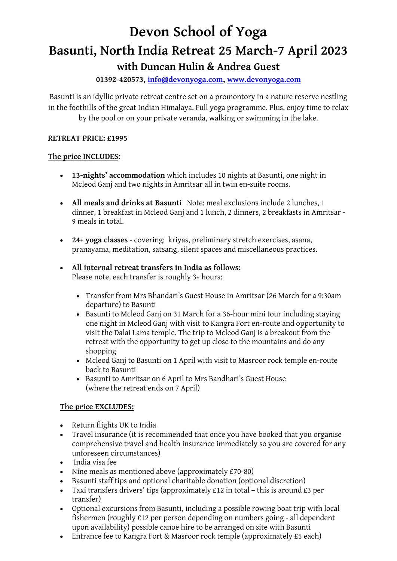# **Devon School of Yoga Basunti, North India Retreat 25 March-7 April 2023**

# **with Duncan Hulin & Andrea Guest**

# **01392-420573, [info@devonyoga.com,](mailto:info@devonyoga.com) [www.devonyoga.com](http://www.devonyoga.com/)**

Basunti is an idyllic private retreat centre set on a promontory in a nature reserve nestling in the foothills of the great Indian Himalaya. Full yoga programme. Plus, enjoy time to relax by the pool or on your private veranda, walking or swimming in the lake.

# **RETREAT PRICE: £1995**

# **The price INCLUDES:**

- **13-nights' accommodation** which includes 10 nights at Basunti, one night in Mcleod Ganj and two nights in Amritsar all in twin en-suite rooms.
- **All meals and drinks at Basunti** Note: meal exclusions include 2 lunches, 1 dinner, 1 breakfast in Mcleod Ganj and 1 lunch, 2 dinners, 2 breakfasts in Amritsar - 9 meals in total.
- **24+ yoga classes** covering: kriyas, preliminary stretch exercises, asana, pranayama, meditation, satsang, silent spaces and miscellaneous practices.
- **All internal retreat transfers in India as follows:** Please note, each transfer is roughly 3+ hours:
	- Transfer from Mrs Bhandari's Guest House in Amritsar (26 March for a 9:30am departure) to Basunti
	- Basunti to Mcleod Ganj on 31 March for a 36-hour mini tour including staying one night in Mcleod Ganj with visit to Kangra Fort en-route and opportunity to visit the Dalai Lama temple. The trip to Mcleod Ganj is a breakout from the retreat with the opportunity to get up close to the mountains and do any shopping
	- Mcleod Ganj to Basunti on 1 April with visit to Masroor rock temple en-route back to Basunti
	- Basunti to Amritsar on 6 April to Mrs Bandhari's Guest House (where the retreat ends on 7 April)

# **The price EXCLUDES:**

- Return flights UK to India
- Travel insurance (it is recommended that once you have booked that you organise comprehensive travel and health insurance immediately so you are covered for any unforeseen circumstances)
- India visa fee
- Nine meals as mentioned above (approximately £70-80)
- Basunti staff tips and optional charitable donation (optional discretion)
- Taxi transfers drivers' tips (approximately £12 in total this is around £3 per transfer)
- Optional excursions from Basunti, including a possible rowing boat trip with local fishermen (roughly £12 per person depending on numbers going - all dependent upon availability) possible canoe hire to be arranged on site with Basunti
- Entrance fee to Kangra Fort & Masroor rock temple (approximately £5 each)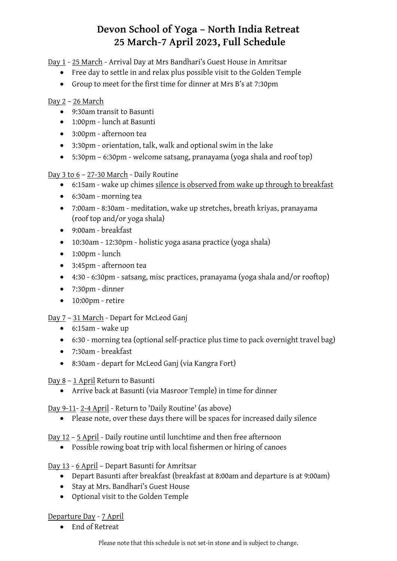# **Devon School of Yoga – North India Retreat 25 March-7 April 2023, Full Schedule**

Day 1 - 25 March - Arrival Day at Mrs Bandhari's Guest House in Amritsar

- Free day to settle in and relax plus possible visit to the Golden Temple
- Group to meet for the first time for dinner at Mrs B's at 7:30pm

# Day 2 – 26 March

- 9:30am transit to Basunti
- 1:00pm lunch at Basunti
- 3:00pm afternoon tea
- 3:30pm orientation, talk, walk and optional swim in the lake
- 5:30pm 6:30pm welcome satsang, pranayama (yoga shala and roof top)

Day 3 to 6 – 27-30 March - Daily Routine

- 6:15am wake up chimes silence is observed from wake up through to breakfast
- 6:30am morning tea
- 7:00am 8:30am meditation, wake up stretches, breath kriyas, pranayama (roof top and/or yoga shala)
- 9:00am breakfast
- 10:30am 12:30pm holistic yoga asana practice (yoga shala)
- $\bullet$  1:00pm lunch
- 3:45pm afternoon tea
- 4:30 6:30pm satsang, misc practices, pranayama (yoga shala and/or rooftop)
- 7:30pm dinner
- 10:00pm retire
- Day 7 31 March Depart for McLeod Ganj
	- 6:15am wake up
	- 6:30 morning tea (optional self-practice plus time to pack overnight travel bag)
	- 7:30am breakfast
	- 8:30am depart for McLeod Ganj (via Kangra Fort)

Day 8 – 1 April Return to Basunti

• Arrive back at Basunti (via Masroor Temple) in time for dinner

Day 9-11- 2-4 April - Return to 'Daily Routine' (as above)

• Please note, over these days there will be spaces for increased daily silence

Day 12 – 5 April - Daily routine until lunchtime and then free afternoon

• Possible rowing boat trip with local fishermen or hiring of canoes

# Day 13 - 6 April – Depart Basunti for Amritsar

- Depart Basunti after breakfast (breakfast at 8:00am and departure is at 9:00am)
- Stay at Mrs. Bandhari's Guest House
- Optional visit to the Golden Temple

# Departure Day - 7 April

• End of Retreat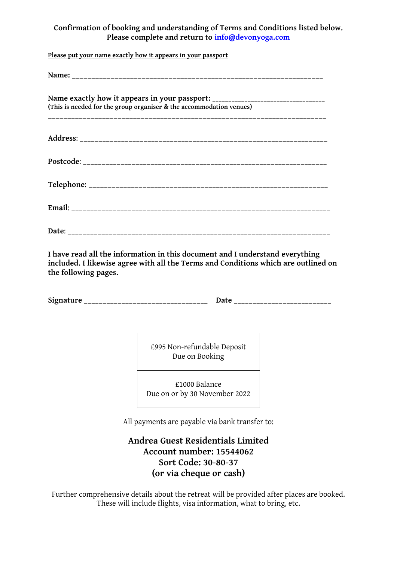# **Confirmation of booking and understanding of Terms and Conditions listed below. Please complete and return to [info@devonyoga.com](mailto:info@devonyoga.com)**

**Please put your name exactly how it appears in your passport**

| Name exactly how it appears in your passport: __________________________________<br>(This is needed for the group organiser & the accommodation venues) |
|---------------------------------------------------------------------------------------------------------------------------------------------------------|
|                                                                                                                                                         |
|                                                                                                                                                         |
|                                                                                                                                                         |
|                                                                                                                                                         |
|                                                                                                                                                         |

**I have read all the information in this document and I understand everything included. I likewise agree with all the Terms and Conditions which are outlined on the following pages.**

**Signature** \_\_\_\_\_\_\_\_\_\_\_\_\_\_\_\_\_\_\_\_\_\_\_\_\_\_\_\_\_\_\_\_\_ **Date** \_\_\_\_\_\_\_\_\_\_\_\_\_\_\_\_\_\_\_\_\_\_\_\_\_\_

£995 Non-refundable Deposit Due on Booking

£1000 Balance Due on or by 30 November 2022

All payments are payable via bank transfer to:

**Andrea Guest Residentials Limited Account number: 15544062 Sort Code: 30-80-37 (or via cheque or cash)**

Further comprehensive details about the retreat will be provided after places are booked. These will include flights, visa information, what to bring, etc.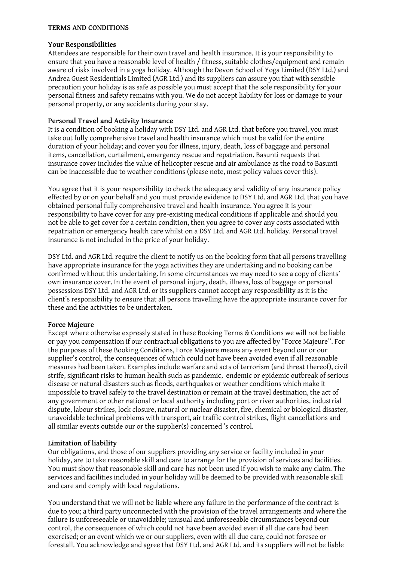#### **TERMS AND CONDITIONS**

#### **Your Responsibilities**

Attendees are responsible for their own travel and health insurance. It is your responsibility to ensure that you have a reasonable level of health / fitness, suitable clothes/equipment and remain aware of risks involved in a yoga holiday. Although the Devon School of Yoga Limited (DSY Ltd.) and Andrea Guest Residentials Limited (AGR Ltd.) and its suppliers can assure you that with sensible precaution your holiday is as safe as possible you must accept that the sole responsibility for your personal fitness and safety remains with you. We do not accept liability for loss or damage to your personal property, or any accidents during your stay.

#### **Personal Travel and Activity Insurance**

It is a condition of booking a holiday with DSY Ltd. and AGR Ltd. that before you travel, you must take out fully comprehensive travel and health insurance which must be valid for the entire duration of your holiday; and cover you for illness, injury, death, loss of baggage and personal items, cancellation, curtailment, emergency rescue and repatriation. Basunti requests that insurance cover includes the value of helicopter rescue and air ambulance as the road to Basunti can be inaccessible due to weather conditions (please note, most policy values cover this).

You agree that it is your responsibility to check the adequacy and validity of any insurance policy effected by or on your behalf and you must provide evidence to DSY Ltd. and AGR Ltd. that you have obtained personal fully comprehensive travel and health insurance. You agree it is your responsibility to have cover for any pre-existing medical conditions if applicable and should you not be able to get cover for a certain condition, then you agree to cover any costs associated with repatriation or emergency health care whilst on a DSY Ltd. and AGR Ltd. holiday. Personal travel insurance is not included in the price of your holiday.

DSY Ltd. and AGR Ltd. require the client to notify us on the booking form that all persons travelling have appropriate insurance for the yoga activities they are undertaking and no booking can be confirmed without this undertaking. In some circumstances we may need to see a copy of clients' own insurance cover. In the event of personal injury, death, illness, loss of baggage or personal possessions DSY Ltd. and AGR Ltd. or its suppliers cannot accept any responsibility as it is the client's responsibility to ensure that all persons travelling have the appropriate insurance cover for these and the activities to be undertaken.

#### **Force Majeure**

Except where otherwise expressly stated in these Booking Terms & Conditions we will not be liable or pay you compensation if our contractual obligations to you are affected by "Force Majeure". For the purposes of these Booking Conditions, Force Majeure means any event beyond our or our supplier's control, the consequences of which could not have been avoided even if all reasonable measures had been taken. Examples include warfare and acts of terrorism (and threat thereof), civil strife, significant risks to human health such as pandemic, endemic or epidemic outbreak of serious disease or natural disasters such as floods, earthquakes or weather conditions which make it impossible to travel safely to the travel destination or remain at the travel destination, the act of any government or other national or local authority including port or river authorities, industrial dispute, labour strikes, lock closure, natural or nuclear disaster, fire, chemical or biological disaster, unavoidable technical problems with transport, air traffic control strikes, flight cancellations and all similar events outside our or the supplier(s) concerned 's control.

#### **Limitation of liability**

Our obligations, and those of our suppliers providing any service or facility included in your holiday, are to take reasonable skill and care to arrange for the provision of services and facilities. You must show that reasonable skill and care has not been used if you wish to make any claim. The services and facilities included in your holiday will be deemed to be provided with reasonable skill and care and comply with local regulations.

You understand that we will not be liable where any failure in the performance of the contract is due to you; a third party unconnected with the provision of the travel arrangements and where the failure is unforeseeable or unavoidable; unusual and unforeseeable circumstances beyond our control, the consequences of which could not have been avoided even if all due care had been exercised; or an event which we or our suppliers, even with all due care, could not foresee or forestall. You acknowledge and agree that DSY Ltd. and AGR Ltd. and its suppliers will not be liable